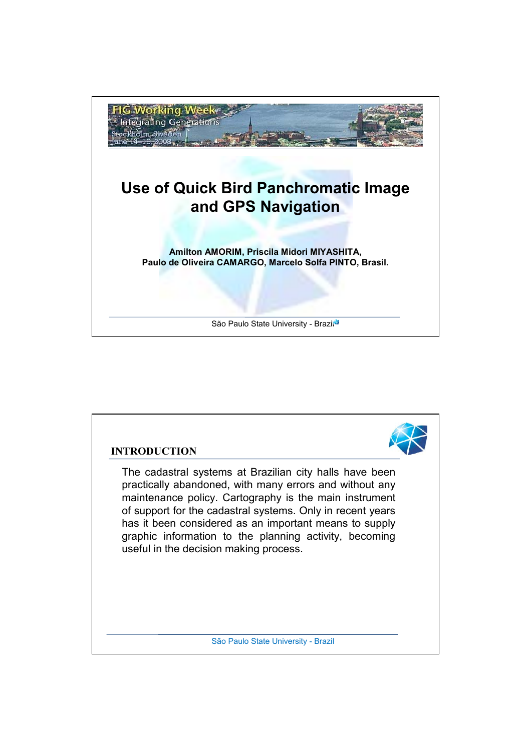

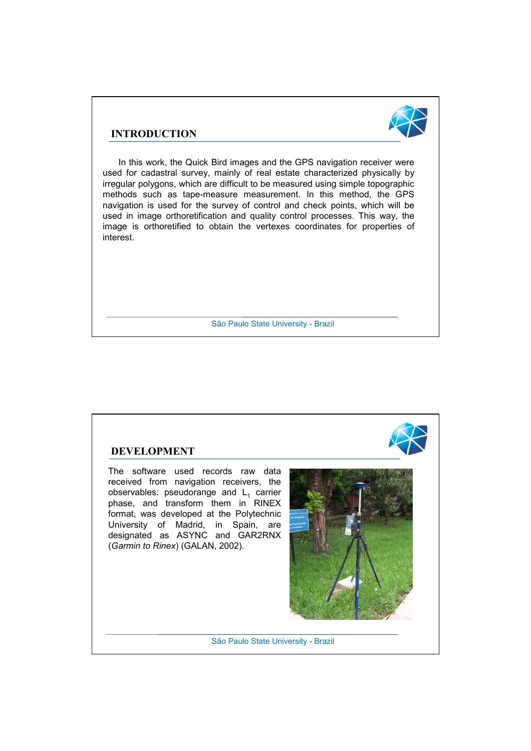#### **INTRODUCTION**



In this work, the Quick Bird images and the GPS navigation receiver were used for cadastral survey, mainly of real estate characterized physically by irregular polygons, which are difficult to be measured using simple topographic methods such as tape-measure measurement. In this method, the GPS navigation is used for the survey of control and check points, which will be used in image orthoretification and quality control processes. This way, the image is orthoretified to obtain the vertexes coordinates for properties of interest.

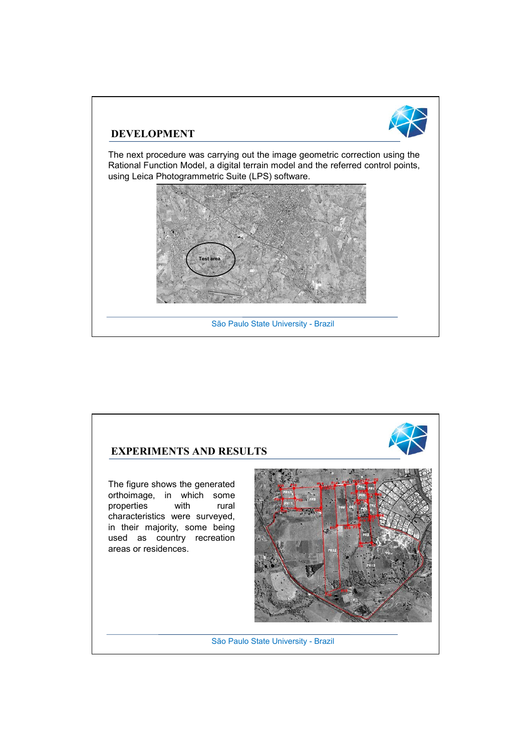

#### **DEVELOPMENT**

The next procedure was carrying out the image geometric correction using the Rational Function Model, a digital terrain model and the referred control points, using Leica Photogrammetric Suite (LPS) software.



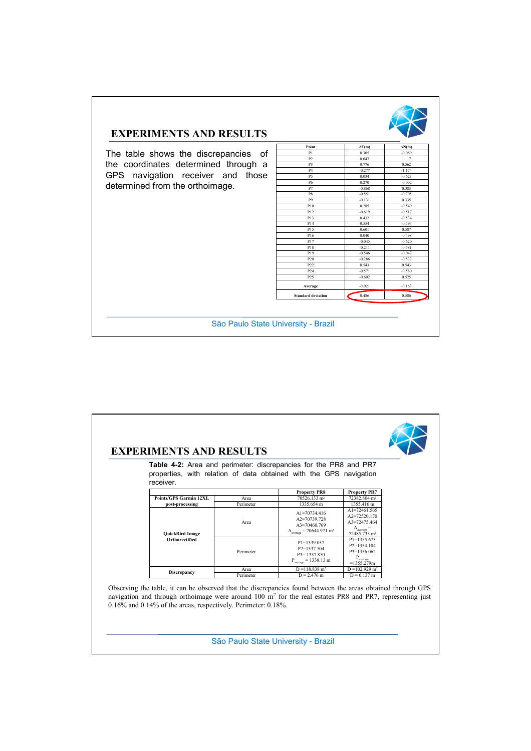

## **EXPERIMENTS AND RESULTS**

The table shows the discrepancies of the coordinates determined through a GPS navigation receiver and those determined from the orthoimage.

| Point                     | $\Delta E(m)$ | $\Delta N(m)$ |
|---------------------------|---------------|---------------|
| P1                        | 0.305         | $-0.089$      |
| P <sub>2</sub>            | 0.047         | 1.117         |
| P3                        | 0.776         | 0.562         |
| <b>P4</b>                 | $-0.277$      | $-1.174$      |
| P <sub>5</sub>            | 0.034         | $-0.623$      |
| <b>P6</b>                 | 0.270         | $-0.002$      |
| P7                        | $-0.868$      | 0.383         |
| P8                        | $-0.551$      | $-0.705$      |
| P <sub>9</sub>            | $-0.131$      | 0.335         |
| P10                       | 0.285         | $-0.549$      |
| P12                       | $-0.619$      | $-0.517$      |
| P13                       | 0.432         | $-0.534$      |
| P <sub>14</sub>           | 0.554         | $-0.593$      |
| P15                       | 0.601         | 0.587         |
| P16                       | 0.040         | $-0.498$      |
| P17                       | $-0.045$      | $-0.620$      |
| P18                       | $-0.211$      | $-0.581$      |
| P19                       | $-0.546$      | $-0.047$      |
| P20                       | $-0.286$      | $-0.537$      |
| P22                       | 0.543         | 0.543         |
| P <sub>24</sub>           | $-0.571$      | $-0.580$      |
| P <sub>25</sub>           | $-0.602$      | 0.525         |
| Average                   | $-0.021$      | $-0.163$      |
| <b>Standard deviation</b> | 0.486<br>r.   | 0.586         |

|  | receiver.                                                           |           | <b>Table 4-2:</b> Area and perimeter: discrepancies for the PR8 and PR7<br>properties, with relation of data obtained with the GPS navigation                                                                                       |                                                                                                 |  |
|--|---------------------------------------------------------------------|-----------|-------------------------------------------------------------------------------------------------------------------------------------------------------------------------------------------------------------------------------------|-------------------------------------------------------------------------------------------------|--|
|  |                                                                     |           | <b>Property PR8</b>                                                                                                                                                                                                                 | <b>Property PR7</b>                                                                             |  |
|  | <b>Points/GPS Garmin 12XL</b>                                       | Area      | 70526.133 m <sup>2</sup>                                                                                                                                                                                                            | 72382.804 m <sup>2</sup>                                                                        |  |
|  | post-processing                                                     | Perimeter | 1335.654 m                                                                                                                                                                                                                          | 1355.416 m                                                                                      |  |
|  | <b>QuickBird Image</b><br>Orthorectified                            | Area      | $Al = 70734.416$<br>$A2 = 70739728$<br>A3=70460.769<br>$\rm A_{\rm average} = 70644.971~m^2$                                                                                                                                        | A1=72461.565<br>$A2=72520170$<br>$A3 = 72475464$<br>$A_{average} =$<br>72485.733 m <sup>2</sup> |  |
|  |                                                                     | Perimeter | P1=1339.037<br>$P2=1337504$<br>$P3 = 1337850$<br>$P_{average} = 1338.13 \text{ m}$                                                                                                                                                  | $P1 = 1355.673$<br>$P2=1354104$<br>$P3=1356062$<br>$P_{average}$<br>$=1355.279m$                |  |
|  | <b>Discrepancy</b>                                                  | Area      | $D = 118.838$ m <sup>2</sup>                                                                                                                                                                                                        | $D = 102.929$ m <sup>2</sup>                                                                    |  |
|  |                                                                     | Perimeter | $D = 2,476$ m                                                                                                                                                                                                                       | $D = 0.137$ m                                                                                   |  |
|  | $0.16\%$ and $0.14\%$ of the areas, respectively. Perimeter: 0.18%. |           | Observing the table, it can be observed that the discrepancies found between the areas obtained through GPS<br>navigation and through orthoimage were around 100 m <sup>2</sup> for the real estates PR8 and PR7, representing just |                                                                                                 |  |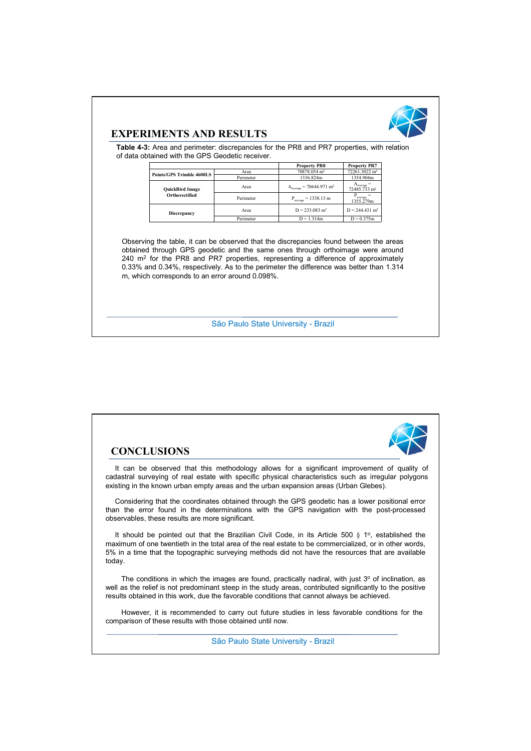

#### **EXPERIMENTS AND RESULTS**

**Table 4-3:** Area and perimeter: discrepancies for the PR8 and PR7 properties, with relation of data obtained with the GPS Geodetic receiver.

|                                  |           | <b>Property PR8</b>                                            | <b>Property PR7</b>                              |
|----------------------------------|-----------|----------------------------------------------------------------|--------------------------------------------------|
| <b>Points/GPS Trimble 4600LS</b> | Area      | 70878.054 m <sup>2</sup>                                       | 72261.3022 m <sup>2</sup>                        |
|                                  | Perimeter | 1336.824m                                                      | 1354.904m                                        |
| <b>QuickBird Image</b>           | Area      | $Aaverage = 70644.971 m2$<br>$P_{average} = 1338.13 \text{ m}$ | A <sub>average</sub><br>72485.733 m <sup>2</sup> |
| Orthorectified                   | Perimeter |                                                                | average<br>1355.279m                             |
| <b>Discrepancy</b>               | Area      | $D = 233.083$ m <sup>2</sup><br>$D = 1.314m$                   | $D = 244.431$ m <sup>2</sup>                     |
|                                  | Perimeter |                                                                | $D = 0.375m$                                     |

Observing the table, it can be observed that the discrepancies found between the areas obtained through GPS geodetic and the same ones through orthoimage were around 240 m2 for the PR8 and PR7 properties, representing a difference of approximately 0.33% and 0.34%, respectively. As to the perimeter the difference was better than 1.314 m, which corresponds to an error around 0.098%.